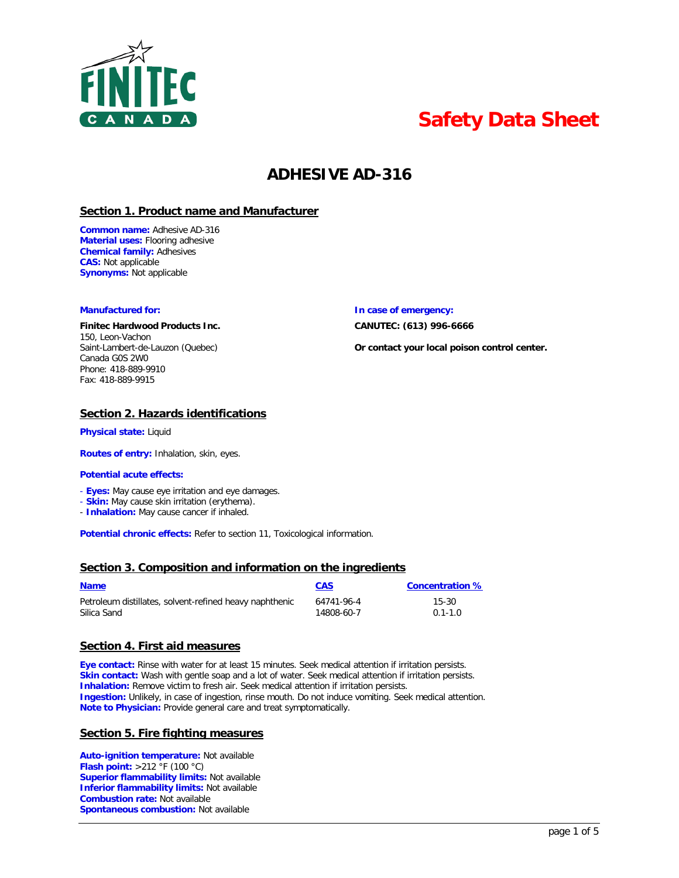

# **Safety Data Sheet**

# **ADHESIVE AD-316**

# **Section 1. Product name and Manufacturer**

**Common name:** Adhesive AD-316 **Material uses:** Flooring adhesive **Chemical family:** Adhesives **CAS:** Not applicable **Synonyms:** Not applicable

# **Finitec Hardwood Products Inc. CANUTEC: (613) 996-6666**

150, Leon-Vachon Canada G0S 2W0 Phone: 418-889-9910 Fax: 418-889-9915

# **Manufactured for: In case of emergency:**

Saint-Lambert-de-Lauzon (Quebec) **Or contact your local poison control center.**

# **Section 2. Hazards identifications**

**Physical state:** Liquid

**Routes of entry:** Inhalation, skin, eyes.

# **Potential acute effects:**

- **Eyes:** May cause eye irritation and eye damages.
- **Skin:** May cause skin irritation (erythema).
- **Inhalation:** May cause cancer if inhaled.

**Potential chronic effects:** Refer to section 11, Toxicological information.

# **Section 3. Composition and information on the ingredients**

| <b>Name</b>                                             | <b>CAS</b> | <b>Concentration %</b> |
|---------------------------------------------------------|------------|------------------------|
| Petroleum distillates, solvent-refined heavy naphthenic | 64741-96-4 | 15-30                  |
| Silica Sand                                             | 14808-60-7 | $0.1 - 1.0$            |

# **Section 4. First aid measures**

**Eye contact:** Rinse with water for at least 15 minutes. Seek medical attention if irritation persists. **Skin contact:** Wash with gentle soap and a lot of water. Seek medical attention if irritation persists. **Inhalation:** Remove victim to fresh air. Seek medical attention if irritation persists. **Ingestion:** Unlikely, in case of ingestion, rinse mouth. Do not induce vomiting. Seek medical attention. **Note to Physician:** Provide general care and treat symptomatically.

# **Section 5. Fire fighting measures**

**Auto-ignition temperature:** Not available **Flash point:** >212 °F (100 °C) **Superior flammability limits:** Not available **Inferior flammability limits:** Not available **Combustion rate:** Not available **Spontaneous combustion:** Not available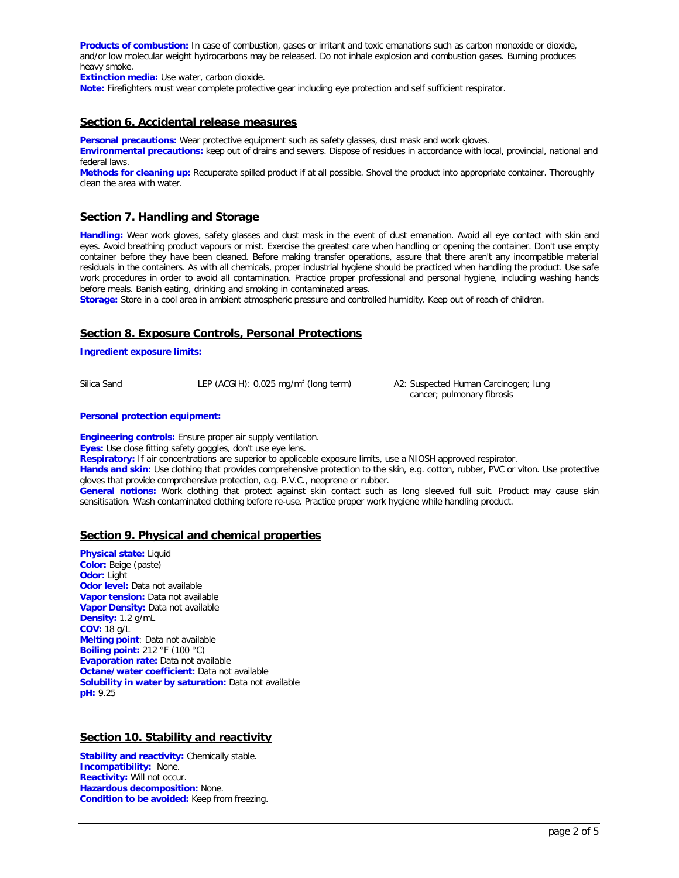**Products of combustion:** In case of combustion, gases or irritant and toxic emanations such as carbon monoxide or dioxide, and/or low molecular weight hydrocarbons may be released. Do not inhale explosion and combustion gases. Burning produces heavy smoke.

**Extinction media:** Use water, carbon dioxide.

**Note:** Firefighters must wear complete protective gear including eye protection and self sufficient respirator.

# **Section 6. Accidental release measures**

**Personal precautions:** Wear protective equipment such as safety glasses, dust mask and work gloves.

**Environmental precautions:** keep out of drains and sewers. Dispose of residues in accordance with local, provincial, national and federal laws.

**Methods for cleaning up:** Recuperate spilled product if at all possible. Shovel the product into appropriate container. Thoroughly clean the area with water.

# **Section 7. Handling and Storage**

**Handling:** Wear work gloves, safety glasses and dust mask in the event of dust emanation. Avoid all eye contact with skin and eyes. Avoid breathing product vapours or mist. Exercise the greatest care when handling or opening the container. Don't use empty container before they have been cleaned. Before making transfer operations, assure that there aren't any incompatible material residuals in the containers. As with all chemicals, proper industrial hygiene should be practiced when handling the product. Use safe work procedures in order to avoid all contamination. Practice proper professional and personal hygiene, including washing hands before meals. Banish eating, drinking and smoking in contaminated areas.

**Storage:** Store in a cool area in ambient atmospheric pressure and controlled humidity. Keep out of reach of children.

# **Section 8. Exposure Controls, Personal Protections**

**Ingredient exposure limits:** 

Silica Sand LEP (ACGIH): 0,025 mg/m<sup>3</sup> (long term) A2: Suspected Human Carcinogen; lung

cancer; pulmonary fibrosis

#### **Personal protection equipment:**

**Engineering controls:** Ensure proper air supply ventilation. **Eyes:** Use close fitting safety goggles, don't use eye lens. **Respiratory:** If air concentrations are superior to applicable exposure limits, use a NIOSH approved respirator. Hands and skin: Use clothing that provides comprehensive protection to the skin, e.g. cotton, rubber, PVC or viton. Use protective gloves that provide comprehensive protection, e.g. P.V.C., neoprene or rubber. **General notions:** Work clothing that protect against skin contact such as long sleeved full suit. Product may cause skin sensitisation. Wash contaminated clothing before re-use. Practice proper work hygiene while handling product.

# **Section 9. Physical and chemical properties**

**Physical state:** Liquid **Color:** Beige (paste) **Odor:** Light **Odor level:** Data not available **Vapor tension:** Data not available **Vapor Density: Data not available Density:** 1.2 g/mL **COV:** 18 g/L **Melting point**: Data not available **Boiling point:** 212 °F (100 °C) **Evaporation rate:** Data not available **Octane/water coefficient:** Data not available **Solubility in water by saturation:** Data not available **pH:** 9.25

# **Section 10. Stability and reactivity**

**Stability and reactivity:** Chemically stable. **Incompatibility:** None. **Reactivity:** Will not occur. **Hazardous decomposition:** None. **Condition to be avoided:** Keep from freezing.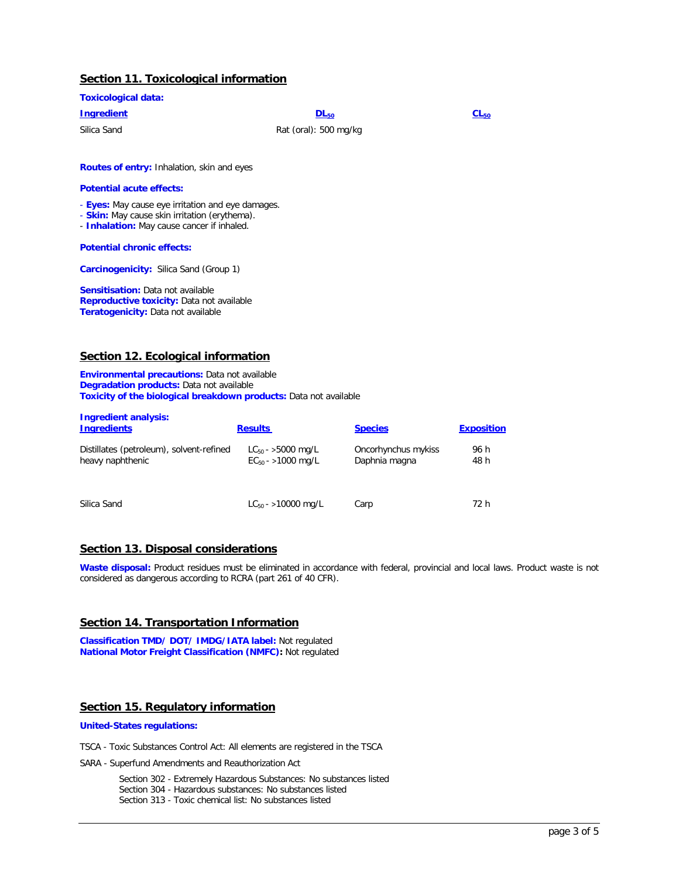# **Section 11. Toxicological information**

| <b>Toxicological data:</b> |                       |           |
|----------------------------|-----------------------|-----------|
| <b>Ingredient</b>          | $DL_{50}$             | $CL_{50}$ |
| Silica Sand                | Rat (oral): 500 mg/kg |           |

**Routes of entry:** Inhalation, skin and eyes

#### **Potential acute effects:**

- **Eyes:** May cause eye irritation and eye damages.

- **Skin:** May cause skin irritation (erythema).
- **Inhalation:** May cause cancer if inhaled.

#### **Potential chronic effects:**

**Carcinogenicity:** Silica Sand (Group 1)

**Sensitisation:** Data not available **Reproductive toxicity:** Data not available **Teratogenicity:** Data not available

# **Section 12. Ecological information**

**Environmental precautions:** Data not available **Degradation products:** Data not available **Toxicity of the biological breakdown products:** Data not available

| <b>Ingredient analysis:</b><br><b>Ingredients</b>            | <b>Results</b>                                   | <b>Species</b>                       | <b>Exposition</b> |
|--------------------------------------------------------------|--------------------------------------------------|--------------------------------------|-------------------|
| Distillates (petroleum), solvent-refined<br>heavy naphthenic | $LC_{50}$ - >5000 mg/L<br>$EC_{50}$ - >1000 mg/L | Oncorhynchus mykiss<br>Daphnia magna | 96 h<br>48 h      |
| Silica Sand                                                  | $LC_{50}$ - >10000 mg/L                          | Carp                                 | 72 h              |

# **Section 13. Disposal considerations**

**Waste disposal:** Product residues must be eliminated in accordance with federal, provincial and local laws. Product waste is not considered as dangerous according to RCRA (part 261 of 40 CFR).

# **Section 14. Transportation Information**

**Classification TMD/ DOT/ IMDG/IATA label:** Not regulated **National Motor Freight Classification (NMFC):** Not regulated

# **Section 15. Regulatory information**

#### **United-States regulations:**

TSCA - Toxic Substances Control Act: All elements are registered in the TSCA

SARA - Superfund Amendments and Reauthorization Act

Section 302 - Extremely Hazardous Substances: No substances listed Section 304 - Hazardous substances: No substances listed Section 313 - Toxic chemical list: No substances listed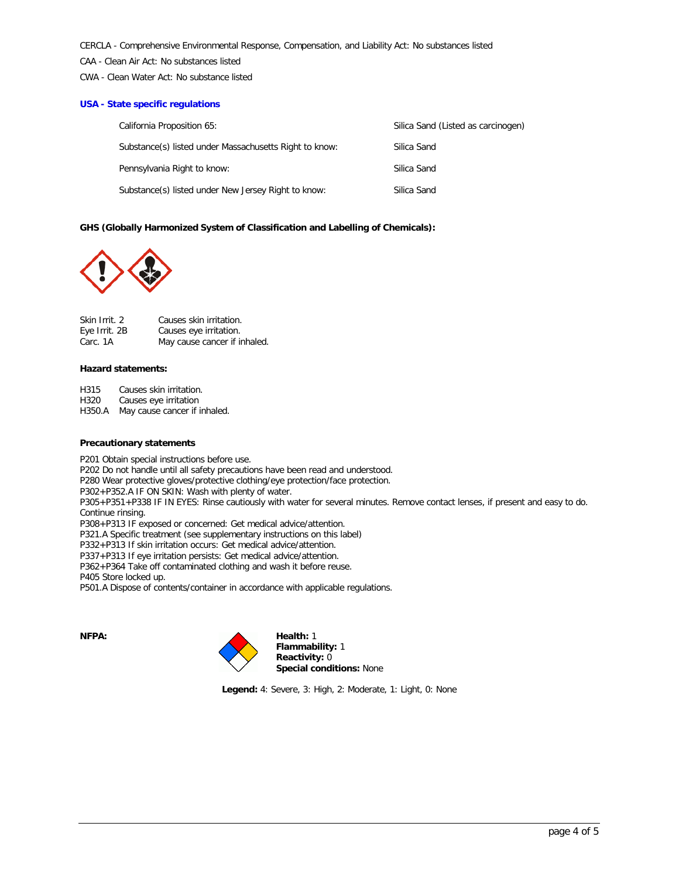CERCLA - Comprehensive Environmental Response, Compensation, and Liability Act: No substances listed

CAA - Clean Air Act: No substances listed

CWA - Clean Water Act: No substance listed

# **USA - State specific regulations**

| California Proposition 65:                             | Silica Sand (Listed as carcinogen) |
|--------------------------------------------------------|------------------------------------|
| Substance(s) listed under Massachusetts Right to know: | Silica Sand                        |
| Pennsylvania Right to know:                            | Silica Sand                        |
| Substance(s) listed under New Jersey Right to know:    | Silica Sand                        |

# **GHS (Globally Harmonized System of Classification and Labelling of Chemicals):**



| Skin Irrit. 2 | Causes skin irritation.      |
|---------------|------------------------------|
| Eye Irrit. 2B | Causes eye irritation.       |
| Carc. 1A      | May cause cancer if inhaled. |

#### **Hazard statements:**

H315 Causes skin irritation.

H320 Causes eye irritation<br>H350.A May cause cancer if i

May cause cancer if inhaled.

# **Precautionary statements**

P201 Obtain special instructions before use. P202 Do not handle until all safety precautions have been read and understood. P280 Wear protective gloves/protective clothing/eye protection/face protection. P302+P352.A IF ON SKIN: Wash with plenty of water. P305+P351+P338 IF IN EYES: Rinse cautiously with water for several minutes. Remove contact lenses, if present and easy to do. Continue rinsing. P308+P313 IF exposed or concerned: Get medical advice/attention. P321.A Specific treatment (see supplementary instructions on this label) P332+P313 If skin irritation occurs: Get medical advice/attention. P337+P313 If eye irritation persists: Get medical advice/attention. P362+P364 Take off contaminated clothing and wash it before reuse. P405 Store locked up. P501.A Dispose of contents/container in accordance with applicable regulations.



 **Reactivity:** 0 **Special conditions:** None

**Legend:** 4: Severe, 3: High, 2: Moderate, 1: Light, 0: None